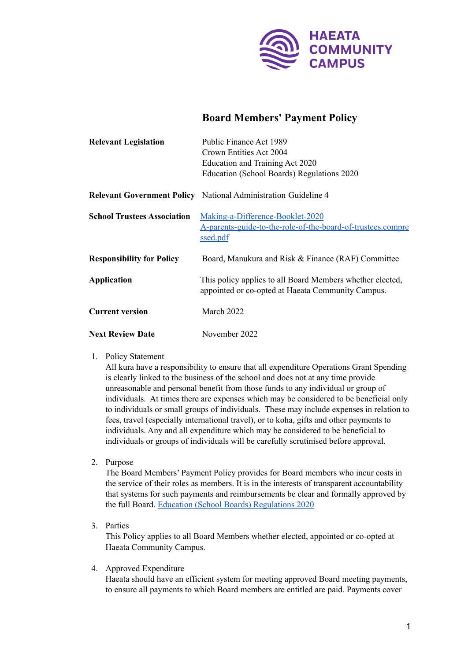

## **Board Members' Payment Policy**

| <b>Relevant Legislation</b>        | Public Finance Act 1989                                                                                        |
|------------------------------------|----------------------------------------------------------------------------------------------------------------|
|                                    | Crown Entities Act 2004                                                                                        |
|                                    | Education and Training Act 2020                                                                                |
|                                    | Education (School Boards) Regulations 2020                                                                     |
|                                    | <b>Relevant Government Policy</b> National Administration Guideline 4                                          |
| <b>School Trustees Association</b> | Making-a-Difference-Booklet-2020                                                                               |
|                                    | A-parents-guide-to-the-role-of-the-board-of-trustees.compre                                                    |
|                                    | ssed.pdf                                                                                                       |
| <b>Responsibility for Policy</b>   | Board, Manukura and Risk & Finance (RAF) Committee                                                             |
| <b>Application</b>                 | This policy applies to all Board Members whether elected,<br>appointed or co-opted at Haeata Community Campus. |
| <b>Current version</b>             | March 2022                                                                                                     |
| <b>Next Review Date</b>            | November 2022                                                                                                  |

1. Policy Statement

All kura have a responsibility to ensure that all expenditure Operations Grant Spending is clearly linked to the business of the school and does not at any time provide unreasonable and personal benefit from those funds to any individual or group of individuals. At times there are expenses which may be considered to be beneficial only to individuals or small groups of individuals. These may include expenses in relation to fees, travel (especially international travel), or to koha, gifts and other payments to individuals. Any and all expenditure which may be considered to be beneficial to individuals or groups of individuals will be carefully scrutinised before approval.

2. Purpose

The Board Members' Payment Policy provides for Board members who incur costs in the service of their roles as members. It is in the interests of transparent accountability that systems for such payments and reimbursements be clear and formally approved by the full Board. Education (School Boards) [Regulations](https://www.legislation.govt.nz/regulation/public/2020/0193/latest/whole.html) 2020

3. Parties

This Policy applies to all Board Members whether elected, appointed or co-opted at Haeata Community Campus.

4. Approved Expenditure

Haeata should have an efficient system for meeting approved Board meeting payments, to ensure all payments to which Board members are entitled are paid. Payments cover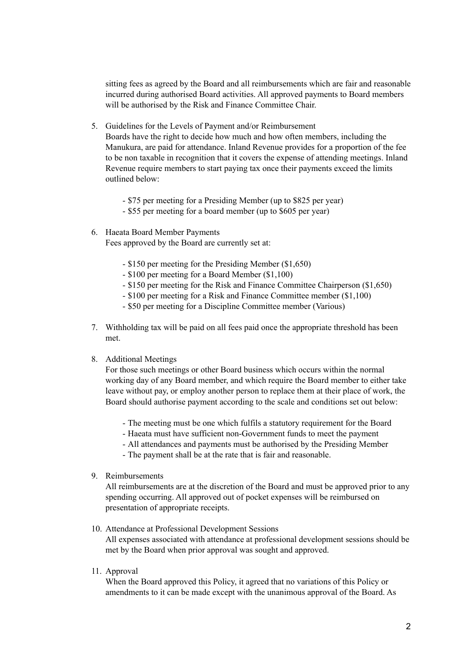sitting fees as agreed by the Board and all reimbursements which are fair and reasonable incurred during authorised Board activities. All approved payments to Board members will be authorised by the Risk and Finance Committee Chair.

5. Guidelines for the Levels of Payment and/or Reimbursement

Boards have the right to decide how much and how often members, including the Manukura, are paid for attendance. Inland Revenue provides for a proportion of the fee to be non taxable in recognition that it covers the expense of attending meetings. Inland Revenue require members to start paying tax once their payments exceed the limits outlined below:

- \$75 per meeting for a Presiding Member (up to \$825 per year)

- \$55 per meeting for a board member (up to \$605 per year)
- 6. Haeata Board Member Payments Fees approved by the Board are currently set at:
	- \$150 per meeting for the Presiding Member (\$1,650)
	- \$100 per meeting for a Board Member (\$1,100)
	- \$150 per meeting for the Risk and Finance Committee Chairperson (\$1,650)
	- \$100 per meeting for a Risk and Finance Committee member (\$1,100)
	- \$50 per meeting for a Discipline Committee member (Various)
- 7. Withholding tax will be paid on all fees paid once the appropriate threshold has been met.

## 8. Additional Meetings

For those such meetings or other Board business which occurs within the normal working day of any Board member, and which require the Board member to either take leave without pay, or employ another person to replace them at their place of work, the Board should authorise payment according to the scale and conditions set out below:

- The meeting must be one which fulfils a statutory requirement for the Board
- Haeata must have sufficient non-Government funds to meet the payment
- All attendances and payments must be authorised by the Presiding Member
- The payment shall be at the rate that is fair and reasonable.
- 9. Reimbursements

All reimbursements are at the discretion of the Board and must be approved prior to any spending occurring. All approved out of pocket expenses will be reimbursed on presentation of appropriate receipts.

10. Attendance at Professional Development Sessions

All expenses associated with attendance at professional development sessions should be met by the Board when prior approval was sought and approved.

11. Approval

When the Board approved this Policy, it agreed that no variations of this Policy or amendments to it can be made except with the unanimous approval of the Board. As